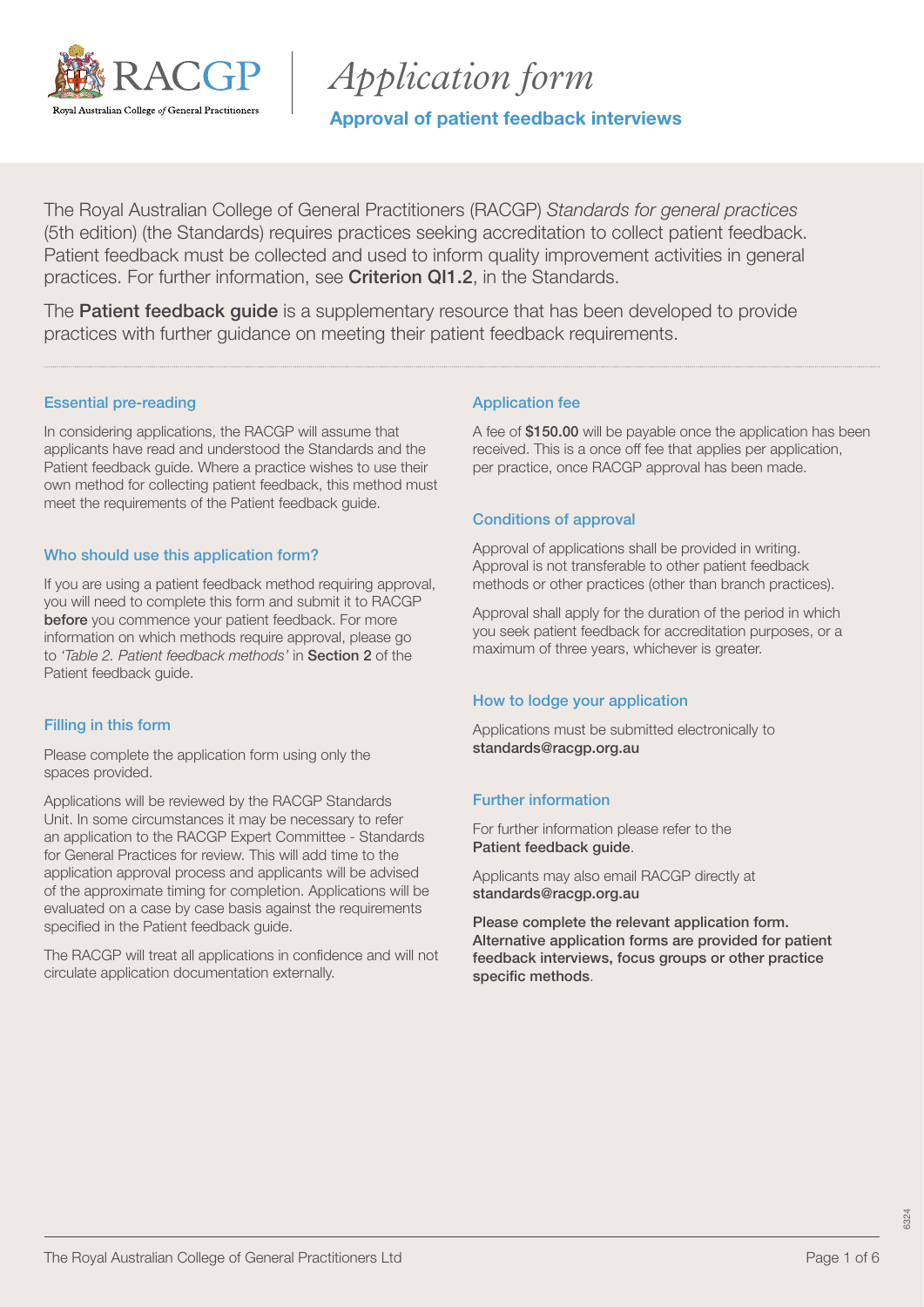

*Application form*

Approval of patient feedback interviews

The Royal Australian College of General Practitioners (RACGP) *Standards for general practices* (5th edition) (the Standards) requires practices seeking accreditation to collect patient feedback. Patient feedback must be collected and used to inform quality improvement activities in general practices. For further information, see [Criterion QI1.2](https://www.racgp.org.au/FSDEDEV/media/documents/Running%20a%20practice/Practice%20standards/5th%20edition/Standards-for-general-practice-5th-edition.pdf#page=100), in the Standards.

The **[Patient feedback guide](https://www.racgp.org.au/running-a-practice/practice-standards/standards-5th-edition/patient-feedback-guide)** is a supplementary resource that has been developed to provide practices with further guidance on meeting their patient feedback requirements.

### Essential pre-reading

In considering applications, the RACGP will assume that applicants have read and understood the Standards and the Patient feedback guide. Where a practice wishes to use their own method for collecting patient feedback, this method must meet the requirements of the Patient feedback guide.

### Who should use this application form?

If you are using a patient feedback method requiring approval, you will need to complete this form and submit it to RACGP before you commence your patient feedback. For more information on which methods require approval, please go to *'Table 2. Patient feedback methods'* in [Section 2](https://www.racgp.org.au/FSDEDEV/media/documents/Running%20a%20practice/Practice%20standards/5th%20edition/Patient-feedback-guide.pdf#page=19) of the Patient feedback guide.

### Filling in this form

Please complete the application form using only the spaces provided.

Applications will be reviewed by the RACGP Standards Unit. In some circumstances it may be necessary to refer an application to the RACGP Expert Committee - Standards for General Practices for review. This will add time to the application approval process and applicants will be advised of the approximate timing for completion. Applications will be evaluated on a case by case basis against the requirements specified in the Patient feedback guide.

The RACGP will treat all applications in confidence and will not circulate application documentation externally.

### Application fee

A fee of \$150.00 will be payable once the application has been received. This is a once off fee that applies per application, per practice, once RACGP approval has been made.

### Conditions of approval

Approval of applications shall be provided in writing. Approval is not transferable to other patient feedback methods or other practices (other than branch practices).

Approval shall apply for the duration of the period in which you seek patient feedback for accreditation purposes, or a maximum of three years, whichever is greater.

#### How to lodge your application

Applications must be submitted electronically to [standards@racgp.org.au](mailto:standards%40racgp.org.au?subject=)

### Further information

For further information please refer to the [Patient feedback guide](https://www.racgp.org.au/FSDEDEV/media/documents/Running%20a%20practice/Practice%20standards/5th%20edition/Patient-feedback-guide.pdf).

Applicants may also email RACGP directly at [standards@racgp.org.au](mailto:standards%40racgp.org.au?subject=)

Please complete the relevant application form. Alternative application forms are provided for patient feedback interviews, focus groups or other practice specific methods.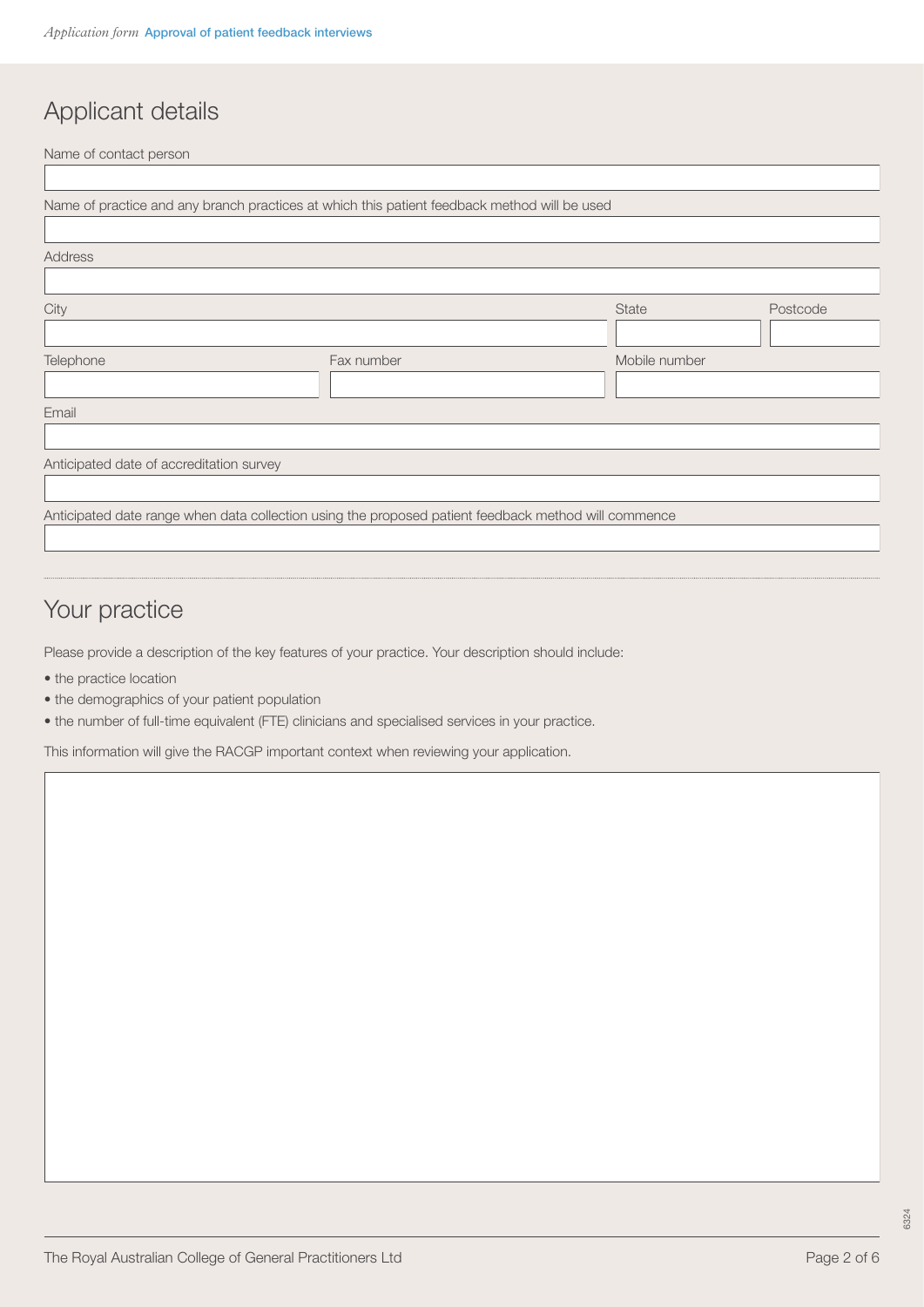# Applicant details

Name of contact person

|                                          | Name of practice and any branch practices at which this patient feedback method will be used         |               |          |
|------------------------------------------|------------------------------------------------------------------------------------------------------|---------------|----------|
|                                          |                                                                                                      |               |          |
| Address                                  |                                                                                                      |               |          |
|                                          |                                                                                                      |               |          |
| City                                     |                                                                                                      | <b>State</b>  | Postcode |
|                                          |                                                                                                      |               |          |
| Telephone                                | Fax number                                                                                           | Mobile number |          |
|                                          |                                                                                                      |               |          |
| Email                                    |                                                                                                      |               |          |
|                                          |                                                                                                      |               |          |
| Anticipated date of accreditation survey |                                                                                                      |               |          |
|                                          |                                                                                                      |               |          |
|                                          | Anticipated date range when data collection using the proposed patient feedback method will commence |               |          |
|                                          |                                                                                                      |               |          |

# Your practice

Please provide a description of the key features of your practice. Your description should include:

- the practice location
- the demographics of your patient population
- the number of full-time equivalent (FTE) clinicians and specialised services in your practice.

This information will give the RACGP important context when reviewing your application.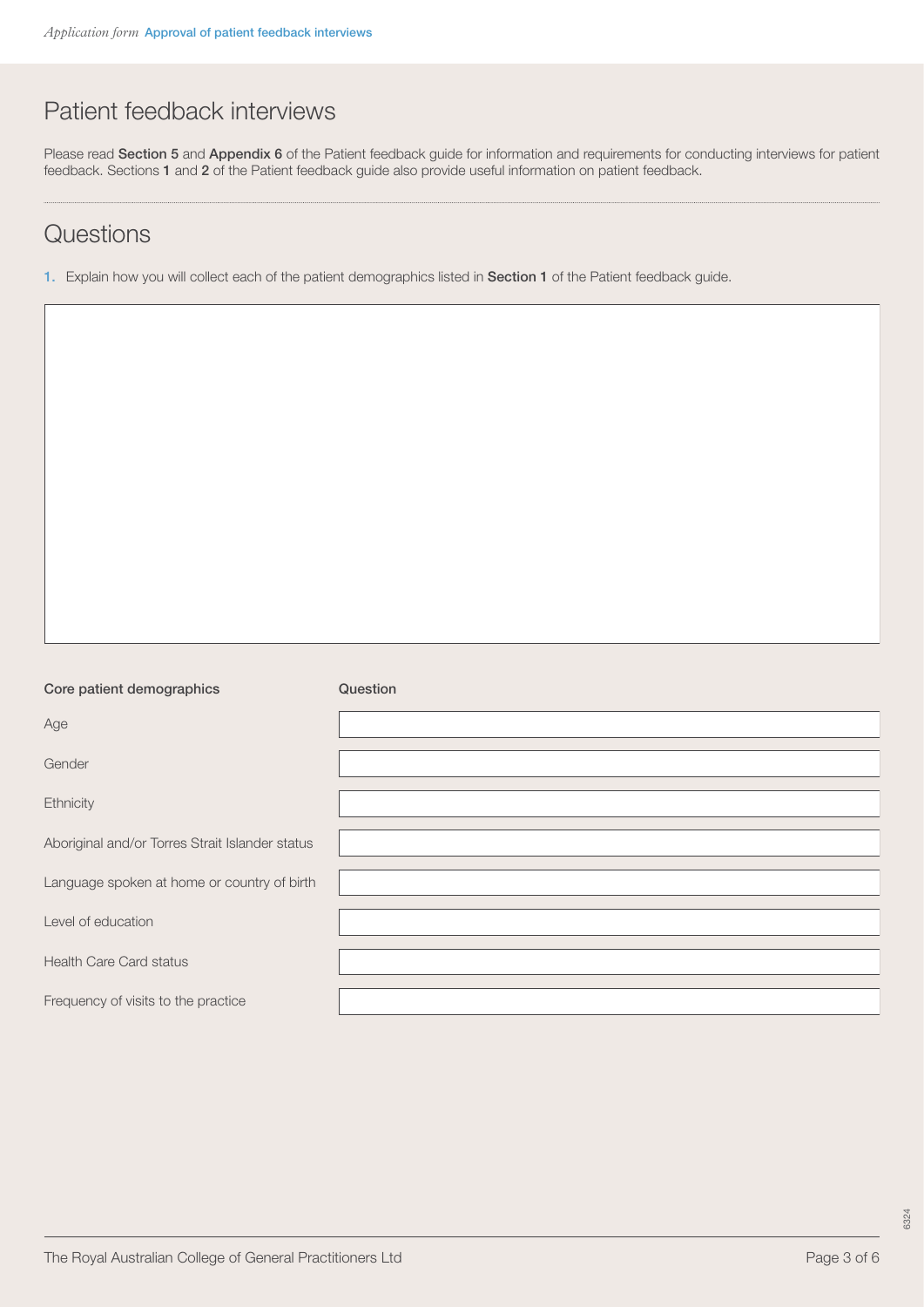## Patient feedback interviews

Please read [Section 5](https://www.racgp.org.au/FSDEDEV/media/documents/Running%20a%20practice/Practice%20standards/5th%20edition/Patient-feedback-guide.pdf#page=31) and [Appendix 6](https://www.racgp.org.au/FSDEDEV/media/documents/Running%20a%20practice/Practice%20standards/5th%20edition/Patient-feedback-guide.pdf#page=53) of the Patient feedback guide for information and requirements for conducting interviews for patient feedback. Sections [1](https://www.racgp.org.au/FSDEDEV/media/documents/Running%20a%20practice/Practice%20standards/5th%20edition/Patient-feedback-guide.pdf#page=9) and [2](https://www.racgp.org.au/FSDEDEV/media/documents/Running%20a%20practice/Practice%20standards/5th%20edition/Patient-feedback-guide.pdf#page=17) of the Patient feedback guide also provide useful information on patient feedback.

### **Questions**

1. Explain how you will collect each of the patient demographics listed in [Section 1](https://www.racgp.org.au/FSDEDEV/media/documents/Running%20a%20practice/Practice%20standards/5th%20edition/Patient-feedback-guide.pdf#page=13) of the Patient feedback guide.

#### Core patient demographics **Core patient** demographics **Question**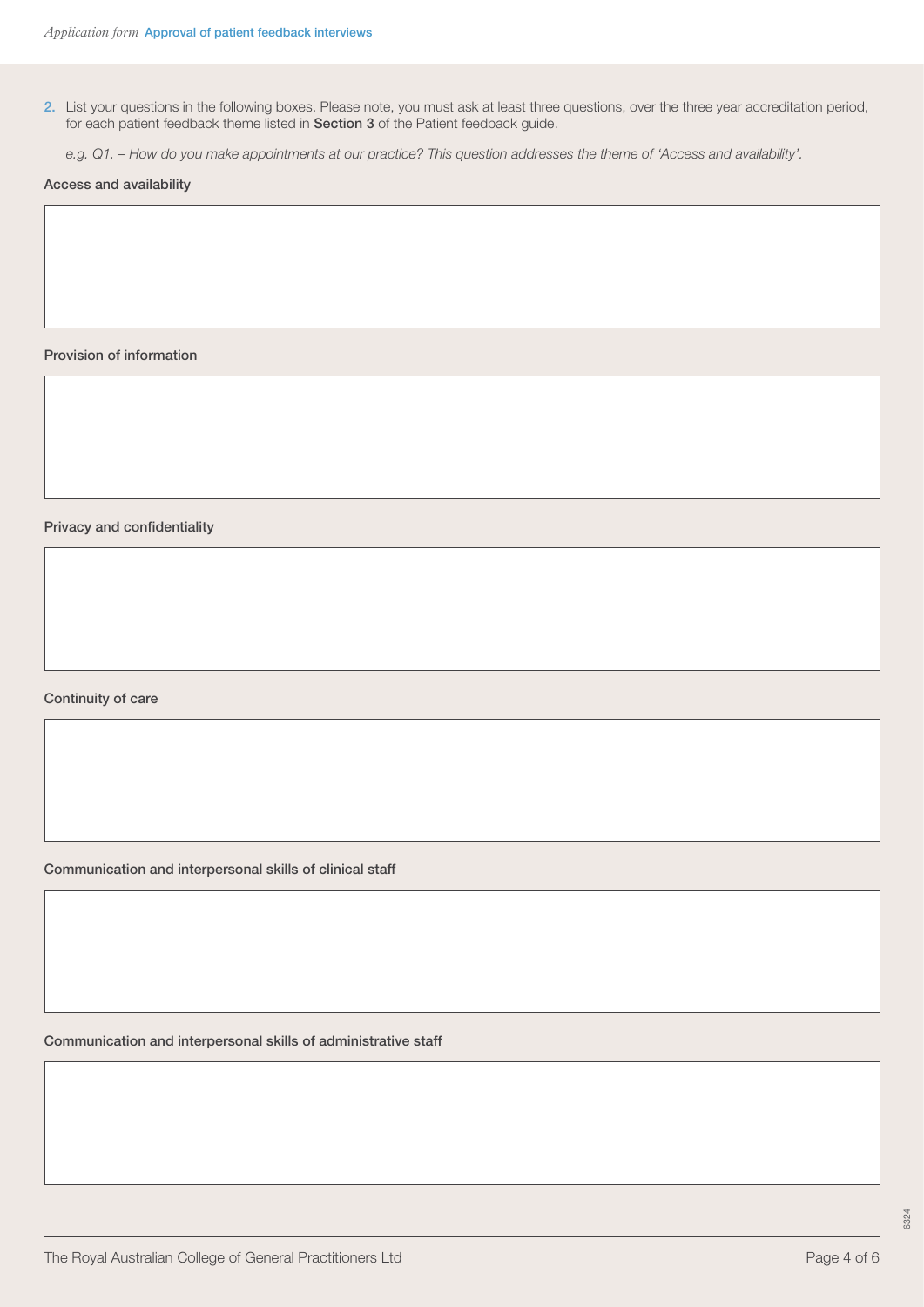2. List your questions in the following boxes. Please note, you must ask at least three questions, over the three year accreditation period, for each patient feedback theme listed in [Section 3](https://www.racgp.org.au/FSDEDEV/media/documents/Running%20a%20practice/Practice%20standards/5th%20edition/Patient-feedback-guide.pdf#page=11) of the Patient feedback guide.

*e.g. Q1. – How do you make appointments at our practice? This question addresses the theme of 'Access and availability'.*

Access and availability

Provision of information

Privacy and confidentiality

Continuity of care

Communication and interpersonal skills of clinical staff

Communication and interpersonal skills of administrative staff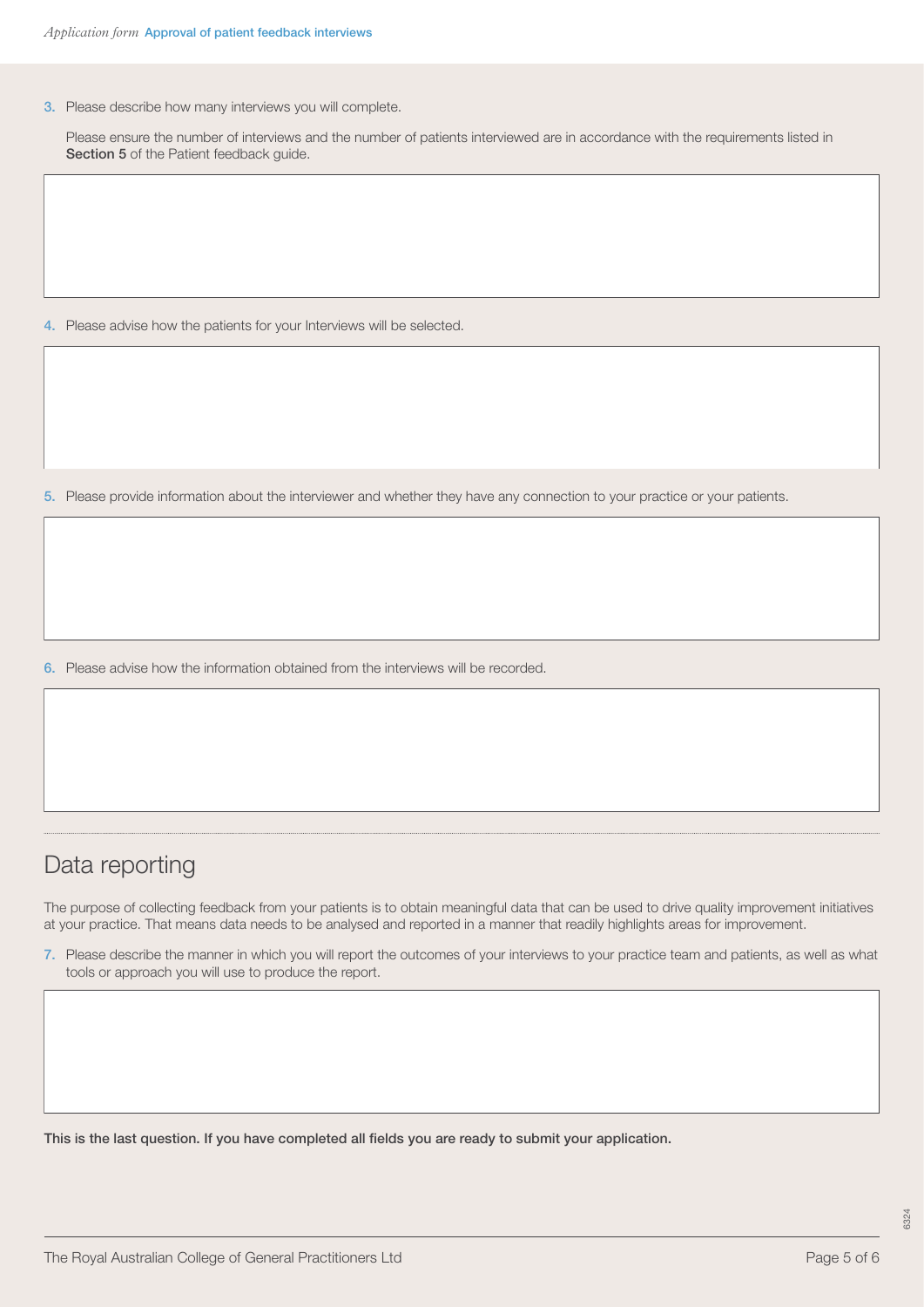3. Please describe how many interviews you will complete.

Please ensure the number of interviews and the number of patients interviewed are in accordance with the requirements listed in [Section 5](https://www.racgp.org.au/FSDEDEV/media/documents/Running%20a%20practice/Practice%20standards/5th%20edition/Patient-feedback-guide.pdf#page=31) of the Patient feedback guide.

4. Please advise how the patients for your Interviews will be selected.

5. Please provide information about the interviewer and whether they have any connection to your practice or your patients.

6. Please advise how the information obtained from the interviews will be recorded.

### Data reporting

The purpose of collecting feedback from your patients is to obtain meaningful data that can be used to drive quality improvement initiatives at your practice. That means data needs to be analysed and reported in a manner that readily highlights areas for improvement.

7. Please describe the manner in which you will report the outcomes of your interviews to your practice team and patients, as well as what tools or approach you will use to produce the report.

This is the last question. If you have completed all fields you are ready to submit your application.